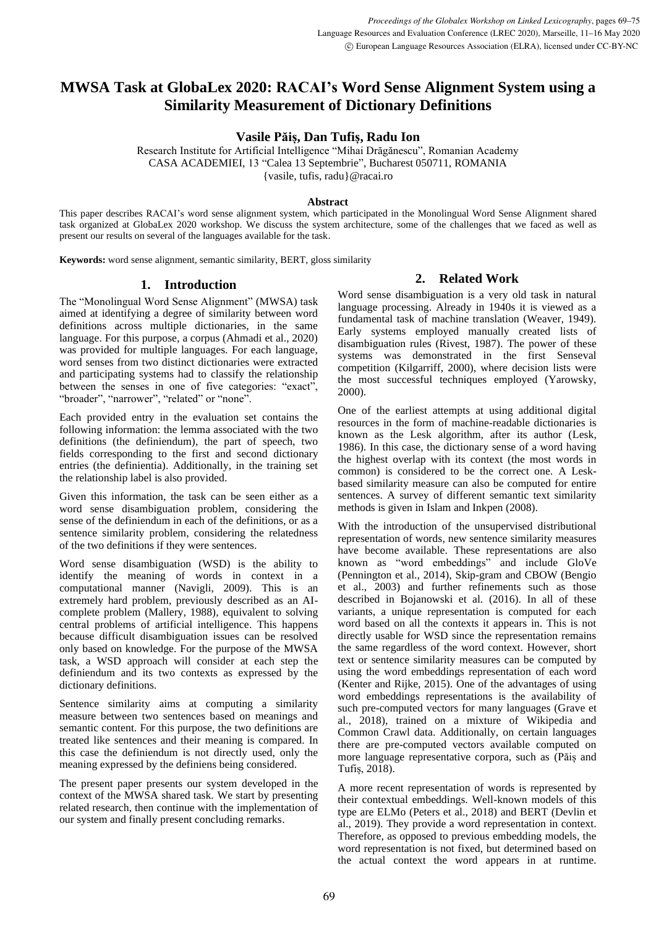# **MWSA Task at GlobaLex 2020: RACAI's Word Sense Alignment System using a Similarity Measurement of Dictionary Definitions**

**Vasile Păiș, Dan Tufiș, Radu Ion**

Research Institute for Artificial Intelligence "Mihai Drăgănescu", Romanian Academy CASA ACADEMIEI, 13 "Calea 13 Septembrie", Bucharest 050711, ROMANIA {vasile, tufis, radu}@racai.ro

### **Abstract**

This paper describes RACAI's word sense alignment system, which participated in the Monolingual Word Sense Alignment shared task organized at GlobaLex 2020 workshop. We discuss the system architecture, some of the challenges that we faced as well as present our results on several of the languages available for the task.

**Keywords:** word sense alignment, semantic similarity, BERT, gloss similarity

## **1. Introduction**

The "Monolingual Word Sense Alignment" (MWSA) task aimed at identifying a degree of similarity between word definitions across multiple dictionaries, in the same language. For this purpose, a corpus (Ahmadi et al., 2020) was provided for multiple languages. For each language, word senses from two distinct dictionaries were extracted and participating systems had to classify the relationship between the senses in one of five categories: "exact", "broader", "narrower", "related" or "none".

Each provided entry in the evaluation set contains the following information: the lemma associated with the two definitions (the definiendum), the part of speech, two fields corresponding to the first and second dictionary entries (the definientia). Additionally, in the training set the relationship label is also provided.

Given this information, the task can be seen either as a word sense disambiguation problem, considering the sense of the definiendum in each of the definitions, or as a sentence similarity problem, considering the relatedness of the two definitions if they were sentences.

Word sense disambiguation (WSD) is the ability to identify the meaning of words in context in a computational manner (Navigli, 2009). This is an extremely hard problem, previously described as an AIcomplete problem (Mallery, 1988), equivalent to solving central problems of artificial intelligence. This happens because difficult disambiguation issues can be resolved only based on knowledge. For the purpose of the MWSA task, a WSD approach will consider at each step the definiendum and its two contexts as expressed by the dictionary definitions.

Sentence similarity aims at computing a similarity measure between two sentences based on meanings and semantic content. For this purpose, the two definitions are treated like sentences and their meaning is compared. In this case the definiendum is not directly used, only the meaning expressed by the definiens being considered.

The present paper presents our system developed in the context of the MWSA shared task. We start by presenting related research, then continue with the implementation of our system and finally present concluding remarks.

## **2. Related Work**

Word sense disambiguation is a very old task in natural language processing. Already in 1940s it is viewed as a fundamental task of machine translation (Weaver, 1949). Early systems employed manually created lists of disambiguation rules (Rivest, 1987). The power of these systems was demonstrated in the first Senseval competition (Kilgarriff, 2000), where decision lists were the most successful techniques employed (Yarowsky, 2000).

One of the earliest attempts at using additional digital resources in the form of machine-readable dictionaries is known as the Lesk algorithm, after its author (Lesk, 1986). In this case, the dictionary sense of a word having the highest overlap with its context (the most words in common) is considered to be the correct one. A Leskbased similarity measure can also be computed for entire sentences. A survey of different semantic text similarity methods is given in Islam and Inkpen (2008).

With the introduction of the unsupervised distributional representation of words, new sentence similarity measures have become available. These representations are also known as "word embeddings" and include GloVe (Pennington et al., 2014), Skip-gram and CBOW (Bengio et al., 2003) and further refinements such as those described in Bojanowski et al. (2016). In all of these variants, a unique representation is computed for each word based on all the contexts it appears in. This is not directly usable for WSD since the representation remains the same regardless of the word context. However, short text or sentence similarity measures can be computed by using the word embeddings representation of each word (Kenter and Rijke, 2015). One of the advantages of using word embeddings representations is the availability of such pre-computed vectors for many languages (Grave et al., 2018), trained on a mixture of Wikipedia and Common Crawl data. Additionally, on certain languages there are pre-computed vectors available computed on more language representative corpora, such as (Păiș and Tufiș, 2018).

A more recent representation of words is represented by their contextual embeddings. Well-known models of this type are ELMo (Peters et al., 2018) and BERT (Devlin et al., 2019). They provide a word representation in context. Therefore, as opposed to previous embedding models, the word representation is not fixed, but determined based on the actual context the word appears in at runtime.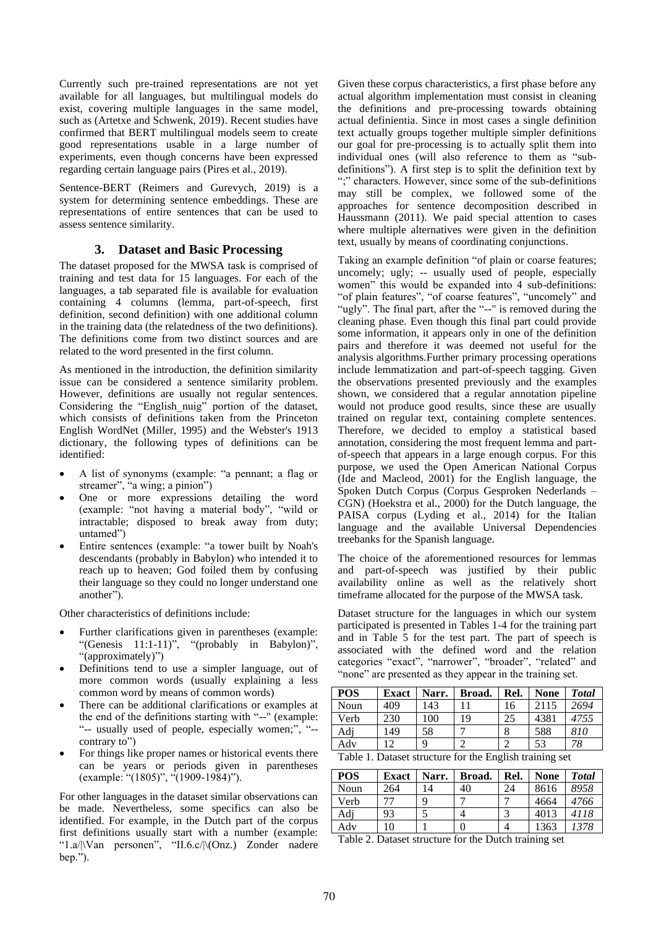Currently such pre-trained representations are not yet available for all languages, but multilingual models do exist, covering multiple languages in the same model, such as (Artetxe and Schwenk, 2019). Recent studies have confirmed that BERT multilingual models seem to create good representations usable in a large number of experiments, even though concerns have been expressed regarding certain language pairs (Pires et al., 2019).

Sentence-BERT (Reimers and Gurevych, 2019) is a system for determining sentence embeddings. These are representations of entire sentences that can be used to assess sentence similarity.

### **3. Dataset and Basic Processing**

The dataset proposed for the MWSA task is comprised of training and test data for 15 languages. For each of the languages, a tab separated file is available for evaluation containing 4 columns (lemma, part-of-speech, first definition, second definition) with one additional column in the training data (the relatedness of the two definitions). The definitions come from two distinct sources and are related to the word presented in the first column.

As mentioned in the introduction, the definition similarity issue can be considered a sentence similarity problem. However, definitions are usually not regular sentences. Considering the "English nuig" portion of the dataset, which consists of definitions taken from the Princeton English WordNet (Miller, 1995) and the Webster's 1913 dictionary, the following types of definitions can be identified:

- A list of synonyms (example: "a pennant; a flag or streamer", "a wing; a pinion")
- One or more expressions detailing the word (example: "not having a material body", "wild or intractable; disposed to break away from duty; untamed")
- Entire sentences (example: "a tower built by Noah's descendants (probably in Babylon) who intended it to reach up to heaven; God foiled them by confusing their language so they could no longer understand one another").

Other characteristics of definitions include:

- Further clarifications given in parentheses (example: "(Genesis 11:1-11)", "(probably in Babylon)", "(approximately)")
- Definitions tend to use a simpler language, out of more common words (usually explaining a less common word by means of common words)
- There can be additional clarifications or examples at the end of the definitions starting with "--" (example: "-- usually used of people, especially women;", "- contrary to")
- For things like proper names or historical events there can be years or periods given in parentheses (example: "(1805)", "(1909-1984)").

For other languages in the dataset similar observations can be made. Nevertheless, some specifics can also be identified. For example, in the Dutch part of the corpus first definitions usually start with a number (example: "1.a/|\Van personen", "II.6.c/|\(Onz.) Zonder nadere  $ben$ .

Given these corpus characteristics, a first phase before any actual algorithm implementation must consist in cleaning the definitions and pre-processing towards obtaining actual definientia. Since in most cases a single definition text actually groups together multiple simpler definitions our goal for pre-processing is to actually split them into individual ones (will also reference to them as "subdefinitions"). A first step is to split the definition text by ";" characters. However, since some of the sub-definitions may still be complex, we followed some of the approaches for sentence decomposition described in Haussmann (2011). We paid special attention to cases where multiple alternatives were given in the definition text, usually by means of coordinating conjunctions.

Taking an example definition "of plain or coarse features; uncomely; ugly; -- usually used of people, especially women" this would be expanded into 4 sub-definitions: "of plain features", "of coarse features", "uncomely" and "ugly". The final part, after the " $-$ " is removed during the cleaning phase. Even though this final part could provide some information, it appears only in one of the definition pairs and therefore it was deemed not useful for the analysis algorithms.Further primary processing operations include lemmatization and part-of-speech tagging. Given the observations presented previously and the examples shown, we considered that a regular annotation pipeline would not produce good results, since these are usually trained on regular text, containing complete sentences. Therefore, we decided to employ a statistical based annotation, considering the most frequent lemma and partof-speech that appears in a large enough corpus. For this purpose, we used the Open American National Corpus (Ide and Macleod, 2001) for the English language, the Spoken Dutch Corpus (Corpus Gesproken Nederlands – CGN) (Hoekstra et al., 2000) for the Dutch language, the PAISA corpus (Lyding et al., 2014) for the Italian language and the available Universal Dependencies treebanks for the Spanish language.

The choice of the aforementioned resources for lemmas and part-of-speech was justified by their public availability online as well as the relatively short timeframe allocated for the purpose of the MWSA task.

Dataset structure for the languages in which our system participated is presented in Tables 1-4 for the training part and in Table 5 for the test part. The part of speech is associated with the defined word and the relation categories "exact", "narrower", "broader", "related" and "none" are presented as they appear in the training set.

| <b>POS</b>  | <b>Exact</b> | Narr. | <b>Broad.</b>                                  | Rel. | <b>None</b> | <b>Total</b> |
|-------------|--------------|-------|------------------------------------------------|------|-------------|--------------|
| Noun        | 409          | 143   |                                                | 16   | 2115        | 2694         |
| Verb        | 230          | 100   | 19                                             | 25   | 4381        | 4755         |
| Adi         | 149          | 58    |                                                |      | 588         | 810          |
| Adv         | ר ו          | Q     |                                                |      | 53          | 78           |
| $T_2$ bla 1 |              |       | Datasat structure for the English training set |      |             |              |

| Table 1. Dataset structure for the English training set |  |  |  |
|---------------------------------------------------------|--|--|--|
|---------------------------------------------------------|--|--|--|

| <b>POS</b> | <b>Exact</b> | Narr. | <b>Broad.</b> | Rel. | <b>None</b> | <b>Total</b> |
|------------|--------------|-------|---------------|------|-------------|--------------|
| Noun       | 264          | 14    | 40            | 24   | 8616        | 8958         |
| Verb       |              | q     |               |      | 4664        | 4766         |
| Adi        | 93           |       |               | ╭    | 4013        | 4118         |
| Adv        |              |       |               | Δ    | 1363        | 1378         |

Table 2. Dataset structure for the Dutch training set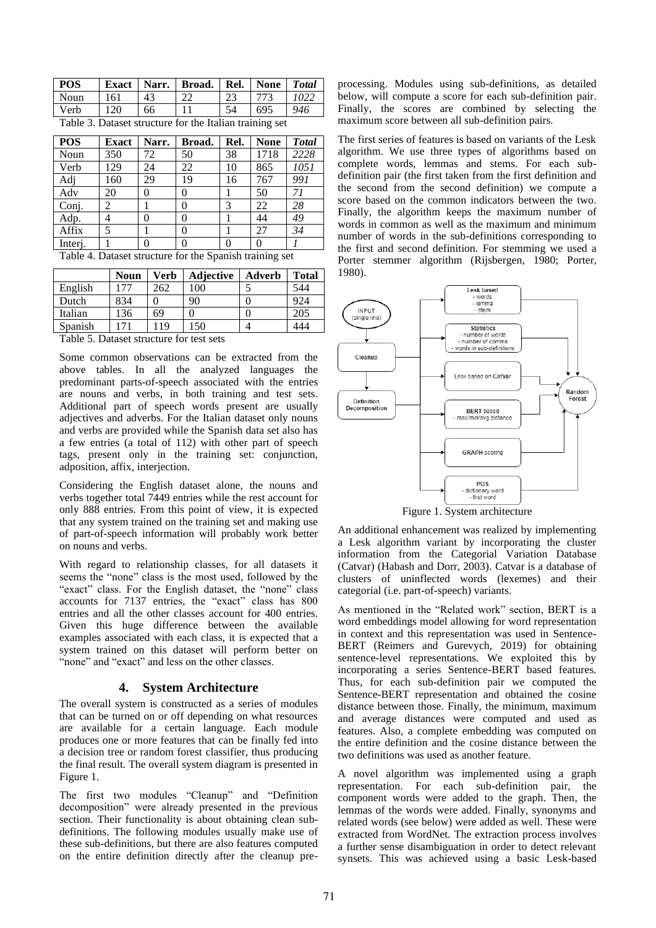| POS  | <b>Exact</b> | Narr. | <b>Broad.</b> | Rel. | <b>None</b> | <b>T</b> otal |
|------|--------------|-------|---------------|------|-------------|---------------|
| Noun | 161          |       |               |      |             |               |
| Verb | 120          | 66    |               |      | 695         | 946           |

| <b>POS</b>         | <b>Exact</b> | Narr. | Broad.                                         | Rel. | <b>None</b> | <b>Total</b> |
|--------------------|--------------|-------|------------------------------------------------|------|-------------|--------------|
| Noun               | 350          | 72    | 50                                             | 38   | 1718        | 2228         |
| Verb               | 129          | 24    | 22                                             | 10   | 865         | 1051         |
| Adj                | 160          | 29    | 19                                             | 16   | 767         | 991          |
| Adv                | 20           |       | 0                                              |      | 50          | 71           |
| Conj.              | 2            |       | 0                                              | 3    | 22          | 28           |
| Adp.               |              | 0     | 0                                              |      | 44          | 49           |
| Affix              | 5            |       | $\theta$                                       |      | 27          | 34           |
| Interi.            |              |       |                                                | 0    | 0           |              |
| Table $\varLambda$ |              |       | Dataset structure for the Spanish training set |      |             |              |

Table 3. Dataset structure for the Italian training set

|         | <b>Noun</b> | <b>Verb</b> | <b>Adjective</b> | Adverb | <b>Total</b> |
|---------|-------------|-------------|------------------|--------|--------------|
| English | 177         | 262         | 100              |        | 544          |
| Dutch   | 834         |             | 90               |        | 924          |
| Italian | 136         | 69          |                  |        | 205          |
| Spanish |             | .19         | 150              |        | 444          |

Table 5. Dataset structure for test sets

Some common observations can be extracted from the above tables. In all the analyzed languages the predominant parts-of-speech associated with the entries are nouns and verbs, in both training and test sets. Additional part of speech words present are usually adjectives and adverbs. For the Italian dataset only nouns and verbs are provided while the Spanish data set also has a few entries (a total of 112) with other part of speech tags, present only in the training set: conjunction, adposition, affix, interjection.

Considering the English dataset alone, the nouns and verbs together total 7449 entries while the rest account for only 888 entries. From this point of view, it is expected that any system trained on the training set and making use of part-of-speech information will probably work better on nouns and verbs.

With regard to relationship classes, for all datasets it seems the "none" class is the most used, followed by the "exact" class. For the English dataset, the "none" class accounts for 7137 entries, the "exact" class has 800 entries and all the other classes account for 400 entries. Given this huge difference between the available examples associated with each class, it is expected that a system trained on this dataset will perform better on "none" and "exact" and less on the other classes.

## **4. System Architecture**

The overall system is constructed as a series of modules that can be turned on or off depending on what resources are available for a certain language. Each module produces one or more features that can be finally fed into a decision tree or random forest classifier, thus producing the final result. The overall system diagram is presented in Figure 1.

The first two modules "Cleanup" and "Definition decomposition" were already presented in the previous section. Their functionality is about obtaining clean subdefinitions. The following modules usually make use of these sub-definitions, but there are also features computed on the entire definition directly after the cleanup preprocessing. Modules using sub-definitions, as detailed below, will compute a score for each sub-definition pair. Finally, the scores are combined by selecting the maximum score between all sub-definition pairs.

The first series of features is based on variants of the Lesk algorithm. We use three types of algorithms based on complete words, lemmas and stems. For each subdefinition pair (the first taken from the first definition and the second from the second definition) we compute a score based on the common indicators between the two. Finally, the algorithm keeps the maximum number of words in common as well as the maximum and minimum number of words in the sub-definitions corresponding to the first and second definition. For stemming we used a Porter stemmer algorithm (Rijsbergen, 1980; Porter, 1980).



An additional enhancement was realized by implementing a Lesk algorithm variant by incorporating the cluster information from the Categorial Variation Database (Catvar) (Habash and Dorr, 2003). Catvar is a database of clusters of uninflected words (lexemes) and their categorial (i.e. part-of-speech) variants.

As mentioned in the "Related work" section, BERT is a word embeddings model allowing for word representation in context and this representation was used in Sentence-BERT (Reimers and Gurevych, 2019) for obtaining sentence-level representations. We exploited this by incorporating a series Sentence-BERT based features. Thus, for each sub-definition pair we computed the Sentence-BERT representation and obtained the cosine distance between those. Finally, the minimum, maximum and average distances were computed and used as features. Also, a complete embedding was computed on the entire definition and the cosine distance between the two definitions was used as another feature.

A novel algorithm was implemented using a graph representation. For each sub-definition pair, the component words were added to the graph. Then, the lemmas of the words were added. Finally, synonyms and related words (see below) were added as well. These were extracted from WordNet. The extraction process involves a further sense disambiguation in order to detect relevant synsets. This was achieved using a basic Lesk-based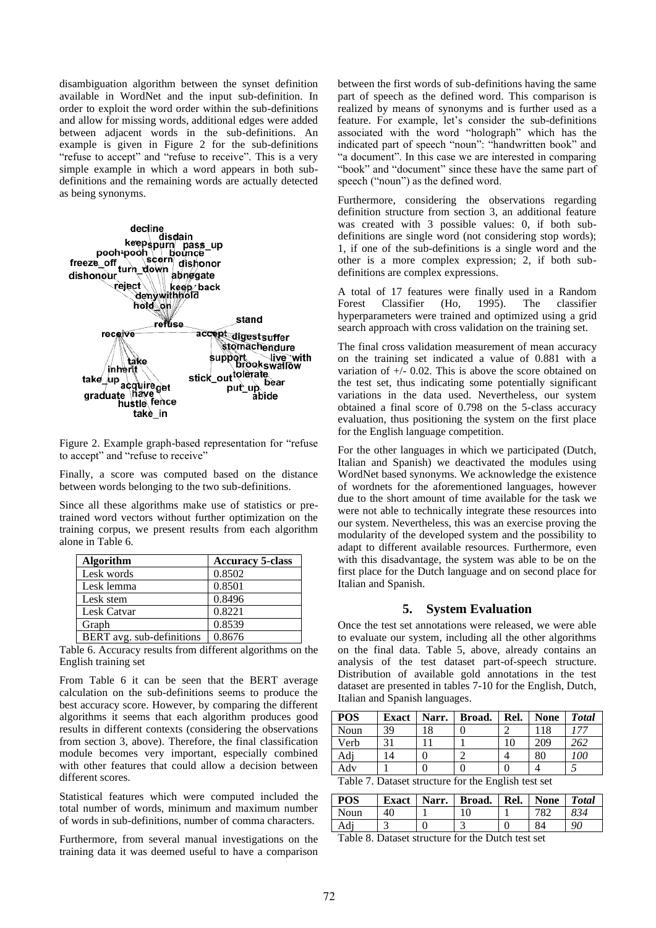disambiguation algorithm between the synset definition available in WordNet and the input sub-definition. In order to exploit the word order within the sub-definitions and allow for missing words, additional edges were added between adjacent words in the sub-definitions. An example is given in Figure 2 for the sub-definitions "refuse to accept" and "refuse to receive". This is a very simple example in which a word appears in both subdefinitions and the remaining words are actually detected as being synonyms.



Figure 2. Example graph-based representation for "refuse to accept" and "refuse to receive"

Finally, a score was computed based on the distance between words belonging to the two sub-definitions.

Since all these algorithms make use of statistics or pretrained word vectors without further optimization on the training corpus, we present results from each algorithm alone in Table 6.

| <b>Algorithm</b>          | <b>Accuracy 5-class</b> |
|---------------------------|-------------------------|
| Lesk words                | 0.8502                  |
| Lesk lemma                | 0.8501                  |
| Lesk stem                 | 0.8496                  |
| Lesk Catvar               | 0.8221                  |
| Graph                     | 0.8539                  |
| BERT avg. sub-definitions | 0.8676                  |

Table 6. Accuracy results from different algorithms on the English training set

From Table 6 it can be seen that the BERT average calculation on the sub-definitions seems to produce the best accuracy score. However, by comparing the different algorithms it seems that each algorithm produces good results in different contexts (considering the observations from section 3, above). Therefore, the final classification module becomes very important, especially combined with other features that could allow a decision between different scores.

Statistical features which were computed included the total number of words, minimum and maximum number of words in sub-definitions, number of comma characters.

Furthermore, from several manual investigations on the training data it was deemed useful to have a comparison

between the first words of sub-definitions having the same part of speech as the defined word. This comparison is realized by means of synonyms and is further used as a feature. For example, let's consider the sub-definitions associated with the word "holograph" which has the indicated part of speech "noun": "handwritten book" and "a document". In this case we are interested in comparing "book" and "document" since these have the same part of speech ("noun") as the defined word.

Furthermore, considering the observations regarding definition structure from section 3, an additional feature was created with 3 possible values: 0, if both subdefinitions are single word (not considering stop words); 1, if one of the sub-definitions is a single word and the other is a more complex expression; 2, if both subdefinitions are complex expressions.

A total of 17 features were finally used in a Random Forest Classifier (Ho, 1995). The classifier hyperparameters were trained and optimized using a grid search approach with cross validation on the training set.

The final cross validation measurement of mean accuracy on the training set indicated a value of 0.881 with a variation of +/- 0.02. This is above the score obtained on the test set, thus indicating some potentially significant variations in the data used. Nevertheless, our system obtained a final score of 0.798 on the 5-class accuracy evaluation, thus positioning the system on the first place for the English language competition.

For the other languages in which we participated (Dutch, Italian and Spanish) we deactivated the modules using WordNet based synonyms. We acknowledge the existence of wordnets for the aforementioned languages, however due to the short amount of time available for the task we were not able to technically integrate these resources into our system. Nevertheless, this was an exercise proving the modularity of the developed system and the possibility to adapt to different available resources. Furthermore, even with this disadvantage, the system was able to be on the first place for the Dutch language and on second place for Italian and Spanish.

### **5. System Evaluation**

Once the test set annotations were released, we were able to evaluate our system, including all the other algorithms on the final data. Table 5, above, already contains an analysis of the test dataset part-of-speech structure. Distribution of available gold annotations in the test dataset are presented in tables 7-10 for the English, Dutch, Italian and Spanish languages.

| <b>POS</b> | <b>Exact</b> | Narr. | <b>Broad.</b> | Rel. | <b>None</b> | <b>T</b> otal |
|------------|--------------|-------|---------------|------|-------------|---------------|
| Noun       | 39           | 18    |               |      | 118         |               |
| Verb       | 31           |       |               | 10   | 209         | 262           |
| Adi        | 14           |       |               |      | 80          | 100           |
| Adv        |              |       |               |      |             |               |

Table 7. Dataset structure for the English test set

| <b>POS</b> | <b>Exact</b> | Narr. | <b>Broad.</b> | Rel. | <b>None</b> | <b>T</b> otal |
|------------|--------------|-------|---------------|------|-------------|---------------|
| Noun       |              |       |               |      |             | 834           |
| Adi        |              |       |               |      |             | 90            |

Table 8. Dataset structure for the Dutch test set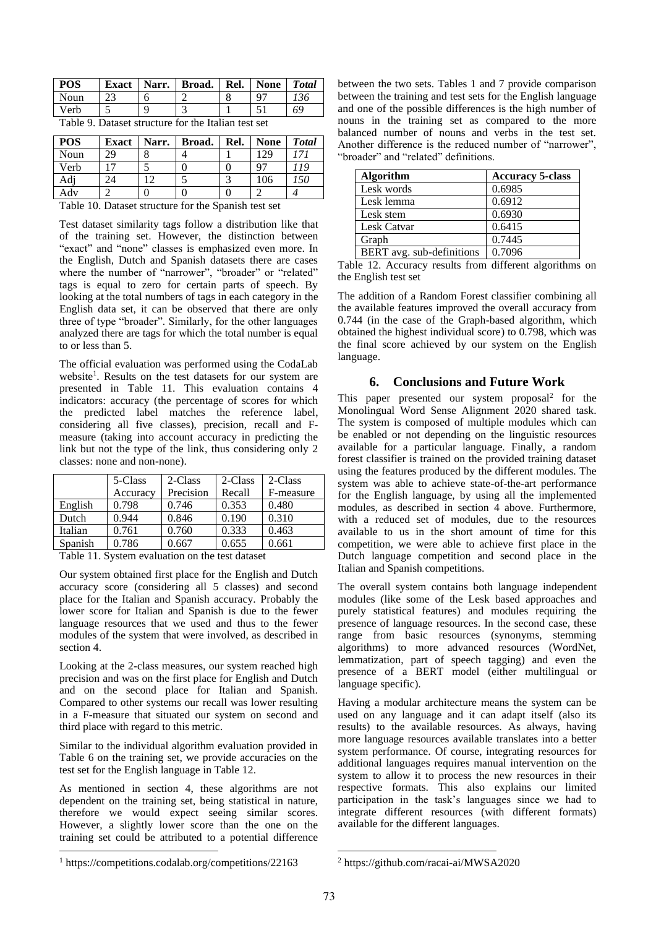| POS  | <b>Exact</b> | Narr. | Broad. | Rel.                     | <b>None</b> | <b>T</b> otal |
|------|--------------|-------|--------|--------------------------|-------------|---------------|
| Noun |              |       |        |                          |             | '36           |
| Verb | $\sim$ 4     |       |        |                          |             |               |
|      |              |       |        | <b>Contract Contract</b> |             |               |

| <b>POS</b> | <b>Exact</b> | Narr. | <b>Broad.</b> | Rel. | <b>None</b> | <b>T</b> otal |
|------------|--------------|-------|---------------|------|-------------|---------------|
| Noun       | 29           |       |               |      | 29          |               |
| Verb       |              |       |               |      |             |               |
| Adj        | 24           |       |               |      | 106         | -50           |
| Adv        |              |       |               |      |             |               |

Table 9. Dataset structure for the Italian test set

Table 10. Dataset structure for the Spanish test set

Test dataset similarity tags follow a distribution like that of the training set. However, the distinction between "exact" and "none" classes is emphasized even more. In the English, Dutch and Spanish datasets there are cases where the number of "narrower", "broader" or "related" tags is equal to zero for certain parts of speech. By looking at the total numbers of tags in each category in the English data set, it can be observed that there are only three of type "broader". Similarly, for the other languages analyzed there are tags for which the total number is equal to or less than 5.

The official evaluation was performed using the CodaLab website<sup>1</sup>. Results on the test datasets for our system are presented in Table 11. This evaluation contains 4 indicators: accuracy (the percentage of scores for which the predicted label matches the reference label, considering all five classes), precision, recall and Fmeasure (taking into account accuracy in predicting the link but not the type of the link, thus considering only 2 classes: none and non-none).

|         | 5-Class  | 2-Class   | 2-Class | 2-Class   |
|---------|----------|-----------|---------|-----------|
|         | Accuracy | Precision | Recall  | F-measure |
| English | 0.798    | 0.746     | 0.353   | 0.480     |
| Dutch   | 0.944    | 0.846     | 0.190   | 0.310     |
| Italian | 0.761    | 0.760     | 0.333   | 0.463     |
| Spanish | 0.786    | 0.667     | 0.655   | 0.661     |

Table 11. System evaluation on the test dataset

Our system obtained first place for the English and Dutch accuracy score (considering all 5 classes) and second place for the Italian and Spanish accuracy. Probably the lower score for Italian and Spanish is due to the fewer language resources that we used and thus to the fewer modules of the system that were involved, as described in section 4.

Looking at the 2-class measures, our system reached high precision and was on the first place for English and Dutch and on the second place for Italian and Spanish. Compared to other systems our recall was lower resulting in a F-measure that situated our system on second and third place with regard to this metric.

Similar to the individual algorithm evaluation provided in Table 6 on the training set, we provide accuracies on the test set for the English language in Table 12.

As mentioned in section 4, these algorithms are not dependent on the training set, being statistical in nature, therefore we would expect seeing similar scores. However, a slightly lower score than the one on the training set could be attributed to a potential difference

between the two sets. Tables 1 and 7 provide comparison between the training and test sets for the English language and one of the possible differences is the high number of nouns in the training set as compared to the more balanced number of nouns and verbs in the test set. Another difference is the reduced number of "narrower", "broader" and "related" definitions.

| <b>Algorithm</b>          | <b>Accuracy 5-class</b> |  |
|---------------------------|-------------------------|--|
| Lesk words                | 0.6985                  |  |
| Lesk lemma                | 0.6912                  |  |
| Lesk stem                 | 0.6930                  |  |
| Lesk Catvar               | 0.6415                  |  |
| Graph                     | 0.7445                  |  |
| BERT avg. sub-definitions | 0.7096                  |  |

Table 12. Accuracy results from different algorithms on the English test set

The addition of a Random Forest classifier combining all the available features improved the overall accuracy from 0.744 (in the case of the Graph-based algorithm, which obtained the highest individual score) to 0.798, which was the final score achieved by our system on the English language.

## **6. Conclusions and Future Work**

This paper presented our system proposal<sup>2</sup> for the Monolingual Word Sense Alignment 2020 shared task. The system is composed of multiple modules which can be enabled or not depending on the linguistic resources available for a particular language. Finally, a random forest classifier is trained on the provided training dataset using the features produced by the different modules. The system was able to achieve state-of-the-art performance for the English language, by using all the implemented modules, as described in section 4 above. Furthermore, with a reduced set of modules, due to the resources available to us in the short amount of time for this competition, we were able to achieve first place in the Dutch language competition and second place in the Italian and Spanish competitions.

The overall system contains both language independent modules (like some of the Lesk based approaches and purely statistical features) and modules requiring the presence of language resources. In the second case, these range from basic resources (synonyms, stemming algorithms) to more advanced resources (WordNet, lemmatization, part of speech tagging) and even the presence of a BERT model (either multilingual or language specific).

Having a modular architecture means the system can be used on any language and it can adapt itself (also its results) to the available resources. As always, having more language resources available translates into a better system performance. Of course, integrating resources for additional languages requires manual intervention on the system to allow it to process the new resources in their respective formats. This also explains our limited participation in the task's languages since we had to integrate different resources (with different formats) available for the different languages.

<sup>1</sup> <https://competitions.codalab.org/competitions/22163>

<sup>2</sup> <https://github.com/racai-ai/MWSA2020>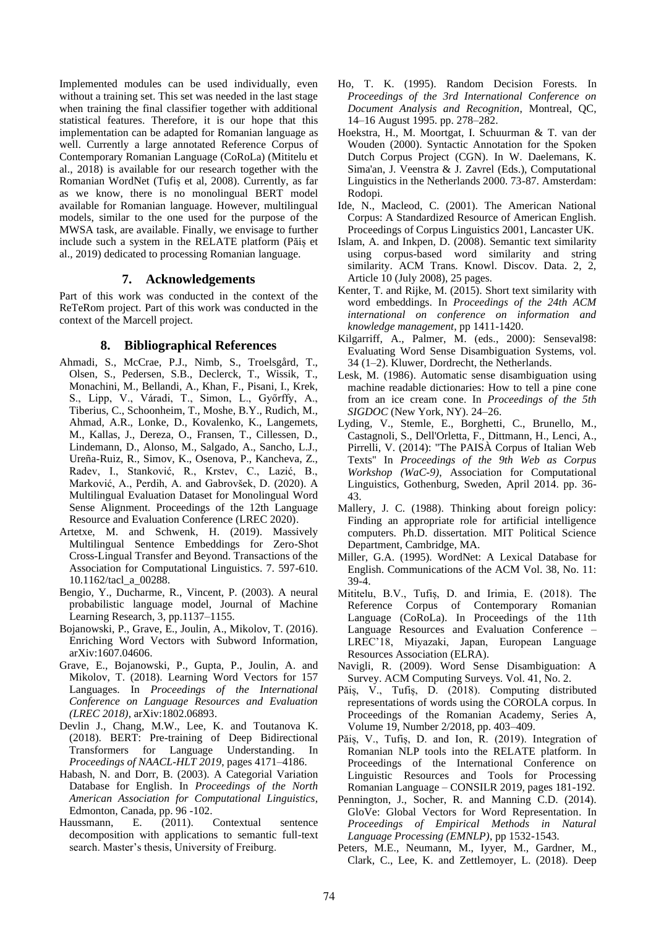Implemented modules can be used individually, even without a training set. This set was needed in the last stage when training the final classifier together with additional statistical features. Therefore, it is our hope that this implementation can be adapted for Romanian language as well. Currently a large annotated Reference Corpus of Contemporary Romanian Language (CoRoLa) (Mititelu et al., 2018) is available for our research together with the Romanian WordNet (Tufiș et al, 2008). Currently, as far as we know, there is no monolingual BERT model available for Romanian language. However, multilingual models, similar to the one used for the purpose of the MWSA task, are available. Finally, we envisage to further include such a system in the RELATE platform (Păiș et al., 2019) dedicated to processing Romanian language.

### **7. Acknowledgements**

Part of this work was conducted in the context of the ReTeRom project. Part of this work was conducted in the context of the Marcell project.

#### **8. Bibliographical References**

- Ahmadi, S., McCrae, P.J., Nimb, S., Troelsgård, T., Olsen, S., Pedersen, S.B., Declerck, T., Wissik, T., Monachini, M., Bellandi, A., Khan, F., Pisani, I., Krek, S., Lipp, V., Váradi, T., Simon, L., Győrffy, A., Tiberius, C., Schoonheim, T., Moshe, B.Y., Rudich, M., Ahmad, A.R., Lonke, D., Kovalenko, K., Langemets, M., Kallas, J., Dereza, O., Fransen, T., Cillessen, D., Lindemann, D., Alonso, M., Salgado, A., Sancho, L.J., Ureña-Ruiz, R., Simov, K., Osenova, P., Kancheva, Z., Radev, I., Stanković, R., Krstev, C., Lazić, B., Marković, A., Perdih, A. and Gabrovšek, D. (2020). A Multilingual Evaluation Dataset for Monolingual Word Sense Alignment. Proceedings of the 12th Language Resource and Evaluation Conference (LREC 2020).
- Artetxe, M. and Schwenk, H. (2019). Massively Multilingual Sentence Embeddings for Zero-Shot Cross-Lingual Transfer and Beyond. Transactions of the Association for Computational Linguistics. 7. 597-610. 10.1162/tacl\_a\_00288.
- Bengio, Y., Ducharme, R., Vincent, P. (2003). A neural probabilistic language model, Journal of Machine Learning Research, 3, pp.1137–1155.
- Bojanowski, P., Grave, E., Joulin, A., Mikolov, T. (2016). Enriching Word Vectors with Subword Information, arXiv:1607.04606.
- Grave, E., Bojanowski, P., Gupta, P., Joulin, A. and Mikolov, T. (2018). Learning Word Vectors for 157 Languages. In *Proceedings of the International Conference on Language Resources and Evaluation (LREC 2018)*, arXiv:1802.06893.
- Devlin J., Chang, M.W., Lee, K. and Toutanova K. (2018). BERT: Pre-training of Deep Bidirectional Transformers for Language Understanding. In *Proceedings of NAACL-HLT 2019*, pages 4171–4186.
- Habash, N. and Dorr, B. (2003). A Categorial Variation Database for English. In *Proceedings of the North American Association for Computational Linguistics*, Edmonton, Canada, pp. 96 -102.
- Haussmann, E. (2011). Contextual sentence decomposition with applications to semantic full-text search. Master's thesis, University of Freiburg.
- Ho, T. K. (1995). Random Decision Forests. In *Proceedings of the 3rd International Conference on Document Analysis and Recognition*, Montreal, QC, 14–16 August 1995. pp. 278–282.
- Hoekstra, H., M. Moortgat, I. Schuurman & T. van der Wouden (2000). Syntactic Annotation for the Spoken Dutch Corpus Project (CGN). In W. Daelemans, K. Sima'an, J. Veenstra & J. Zavrel (Eds.), Computational Linguistics in the Netherlands 2000. 73-87. Amsterdam: Rodopi.
- Ide, N., Macleod, C. (2001). The American National Corpus: A Standardized Resource of American English. Proceedings of Corpus Linguistics 2001, Lancaster UK.
- Islam, A. and Inkpen, D. (2008). Semantic text similarity using corpus-based word similarity and string similarity. ACM Trans. Knowl. Discov. Data. 2, 2, Article 10 (July 2008), 25 pages.
- Kenter, T. and Rijke, M. (2015). Short text similarity with word embeddings. In *Proceedings of the 24th ACM international on conference on information and knowledge management*, pp 1411-1420.
- Kilgarriff, A., Palmer, M. (eds., 2000): Senseval98: Evaluating Word Sense Disambiguation Systems, vol. 34 (1–2). Kluwer, Dordrecht, the Netherlands.
- Lesk, M. (1986). Automatic sense disambiguation using machine readable dictionaries: How to tell a pine cone from an ice cream cone. In *Proceedings of the 5th SIGDOC* (New York, NY). 24–26.
- Lyding, V., Stemle, E., Borghetti, C., Brunello, M., Castagnoli, S., Dell'Orletta, F., Dittmann, H., Lenci, A., Pirrelli, V. (2014): "The PAISÀ Corpus of Italian Web Texts" In *Proceedings of the 9th Web as Corpus Workshop (WaC-9)*, Association for Computational Linguistics, Gothenburg, Sweden, April 2014. pp. 36- 43.
- Mallery, J. C. (1988). Thinking about foreign policy: Finding an appropriate role for artificial intelligence computers. Ph.D. dissertation. MIT Political Science Department, Cambridge, MA.
- Miller, G.A. (1995). WordNet: A Lexical Database for English. Communications of the ACM Vol. 38, No. 11: 39-4.
- Mititelu, B.V., Tufiș, D. and Irimia, E. (2018). The Reference Corpus of Contemporary Romanian Language (CoRoLa). In Proceedings of the 11th Language Resources and Evaluation Conference – LREC'18, Miyazaki, Japan, European Language Resources Association (ELRA).
- Navigli, R. (2009). Word Sense Disambiguation: A Survey. ACM Computing Surveys. Vol. 41, No. 2.
- Păiș, V., Tufiș, D. (2018). Computing distributed representations of words using the COROLA corpus. In Proceedings of the Romanian Academy, Series A, Volume 19, Number 2/2018, pp. 403–409.
- Păiș, V., Tufiș, D. and Ion, R. (2019). Integration of Romanian NLP tools into the RELATE platform. In Proceedings of the International Conference on Linguistic Resources and Tools for Processing Romanian Language – CONSILR 2019, pages 181-192.
- Pennington, J., Socher, R. and Manning C.D. (2014). GloVe: Global Vectors for Word Representation. In *Proceedings of Empirical Methods in Natural Language Processing (EMNLP)*, pp 1532-1543.
- Peters, M.E., Neumann, M., Iyyer, M., Gardner, M., Clark, C., Lee, K. and Zettlemoyer, L. (2018). Deep